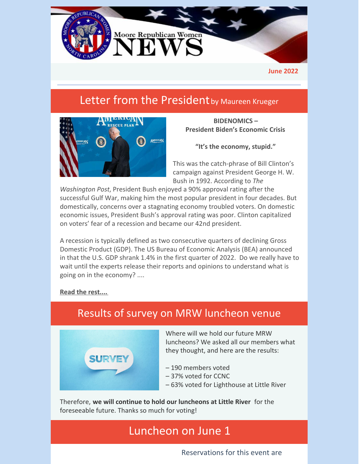

**June 2022**

# Letter from the President by Maureen Krueger



**BIDENOMICS – President Biden's Economic Crisis**

**"It's the economy, stupid."**

This was the catch-phrase of Bill Clinton's campaign against President George H. W. Bush in 1992. According to *The*

*Washington Post*, President Bush enjoyed a 90% approval rating after the successful Gulf War, making him the most popular president in four decades. But domestically, concerns over a stagnating economy troubled voters. On domestic economic issues, President Bush's approval rating was poor. Clinton capitalized on voters' fear of a recession and became our 42nd president.

A recession is typically defined as two consecutive quarters of declining Gross Domestic Product (GDP). The US Bureau of Economic Analysis (BEA) announced in that the U.S. GDP shrank 1.4% in the first quarter of 2022. Do we really have to wait until the experts release their reports and opinions to understand what is going on in the economy? ....

**Read the [rest....](https://files.constantcontact.com/30571cb6701/81e6fb61-aa6b-4795-aeb6-b3fff9a03982.pdf?rdr=true)**



### Results of survey on MRW luncheon venue

Where will we hold our future MRW luncheons? We asked all our members what they thought, and here are the results:

- 190 members voted
- 37% voted for CCNC
- 63% voted for Lighthouse at Little River

Therefore, **we will continue to hold our luncheons at Little River** for the foreseeable future. Thanks so much for voting!

# Luncheon on June 1

Reservations for this event are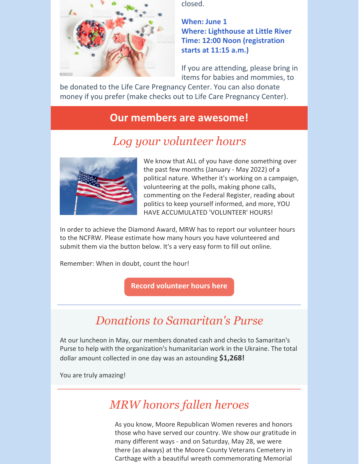

closed.

**When: June 1 Where: Lighthouse at Little River Time: 12:00 Noon (registration starts at 11:15 a.m.)**

If you are attending, please bring in items for babies and mommies, to

be donated to the Life Care Pregnancy Center. You can also donate money if you prefer (make checks out to Life Care Pregnancy Center).

#### **Our members are awesome!**

# *Log your volunteer hours*



We know that ALL of you have done something over the past few months (January - May 2022) of a political nature. Whether it's working on a campaign, volunteering at the polls, making phone calls, commenting on the Federal Register, reading about politics to keep yourself informed, and more, YOU HAVE ACCUMULATED 'VOLUNTEER' HOURS!

In order to achieve the Diamond Award, MRW has to report our volunteer hours to the NCFRW. Please estimate how many hours you have volunteered and submit them via the button below. It's a very easy form to fill out online.

Remember: When in doubt, count the hour!

**Record [volunteer](https://www.mrwnc.org/log-volunteer-hours) hours here**

# *Donations to Samaritan's Purse*

At our luncheon in May, our members donated cash and checks to Samaritan's Purse to help with the organization's humanitarian work in the Ukraine. The total dollar amount collected in one day was an astounding **\$1,268!**

You are truly amazing!

# *MRW honors fallen heroes*

As you know, Moore Republican Women reveres and honors those who have served our country. We show our gratitude in many different ways - and on Saturday, May 28, we were there (as always) at the Moore County Veterans Cemetery in Carthage with a beautiful wreath commemorating Memorial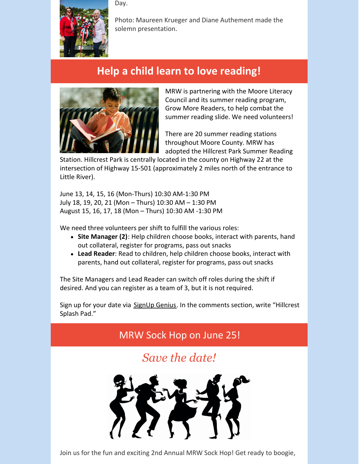Day.



Photo: Maureen Krueger and Diane Authement made the solemn presentation.

# **Help a child learn to love reading!**



MRW is partnering with the Moore Literacy Council and its summer reading program, Grow More Readers, to help combat the summer reading slide. We need volunteers!

There are 20 summer reading stations throughout Moore County. MRW has adopted the Hillcrest Park Summer Reading

Station. Hillcrest Park is centrally located in the county on Highway 22 at the intersection of Highway 15-501 (approximately 2 miles north of the entrance to Little River).

June 13, 14, 15, 16 (Mon-Thurs) 10:30 AM-1:30 PM July 18, 19, 20, 21 (Mon – Thurs) 10:30 AM – 1:30 PM August 15, 16, 17, 18 (Mon – Thurs) 10:30 AM -1:30 PM

We need three volunteers per shift to fulfill the various roles:

- **Site Manager (2)**: Help children choose books, interact with parents, hand out collateral, register for programs, pass out snacks
- **Lead Reader**: Read to children, help children choose books, interact with parents, hand out collateral, register for programs, pass out snacks

The Site Managers and Lead Reader can switch off roles during the shift if desired. And you can register as a team of 3, but it is not required.

Sign up for your date via [SignUp](https://www.signupgenius.com/go/60b0b48a9a928a75-gmrsummer2) Genius. In the comments section, write "Hillcrest Splash Pad."



Join us for the fun and exciting 2nd Annual MRW Sock Hop! Get ready to boogie,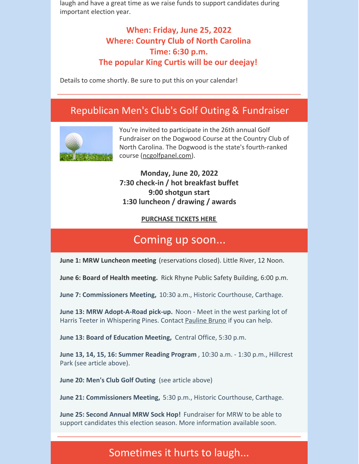laugh and have a great time as we raise funds to support candidates during important election year.

#### **When: Friday, June 25, 2022 Where: Country Club of North Carolina Time: 6:30 p.m. The popular King Curtis will be our deejay!**

Details to come shortly. Be sure to put this on your calendar!

#### Republican Men's Club's Golf Outing & Fundraiser



You're invited to participate in the 26th annual Golf Fundraiser on the Dogwood Course at the Country Club of North Carolina. The Dogwood is the state's fourth-ranked course [\(ncgolfpanel.com](https://r20.rs6.net/tn.jsp?f=001u1J5jN-oO65mtg1MZN9a2RXoIykvtFBobKRfdzsvV_gD7yxghL9Nh7HwKLl6JzSzZod5ILVXGiv1uFRKb-q8TwHQB_KaBVZHl2S1UoWamlxhx1DOIcVAGGAa7lvUbtglWGgexD4V5jU2P61JA4FehEgjetTHJ-vJjQTvqbZ7AAv47EVVcQWMc8_9EbCv9_v_&c=tVPK_6tK6aQuQ0U8fzrJ95Hhps0LnCb7ej2stb4pA5zFuJ3gEzrM9Q==&ch=B1FrjgpvI5U2uLZi2zMvVimXh4noL-vNIaopMqzBlaWSmScUYy20Uw==)).

#### **Monday, June 20, 2022 7:30 check-in / hot breakfast buffet 9:00 shotgun start 1:30 luncheon / drawing / awards**

#### **[PURCHASE](https://sites.google.com/view/mensclubgolftournament/home) TICKETS HERE**

### Coming up soon...

**June 1: MRW Luncheon meeting** (reservations closed). Little River, 12 Noon.

**June 6: Board of Health meeting.** Rick Rhyne Public Safety Building, 6:00 p.m.

**June 7: Commissioners Meeting,** 10:30 a.m., Historic Courthouse, Carthage.

**June 13: MRW Adopt-A-Road pick-up.** Noon - Meet in the west parking lot of Harris Teeter in Whispering Pines. Contact [Pauline](mailto:pbruno46@gmail.com) Bruno if you can help.

**June 13: Board of Education Meeting,** Central Office, 5:30 p.m.

**June 13, 14, 15, 16: Summer Reading Program** , 10:30 a.m. - 1:30 p.m., Hillcrest Park (see article above).

**June 20: Men's Club Golf Outing** (see article above)

**June 21: Commissioners Meeting,** 5:30 p.m., Historic Courthouse, Carthage.

**June 25: Second Annual MRW Sock Hop!** Fundraiser for MRW to be able to support candidates this election season. More information available soon.

#### Sometimes it hurts to laugh...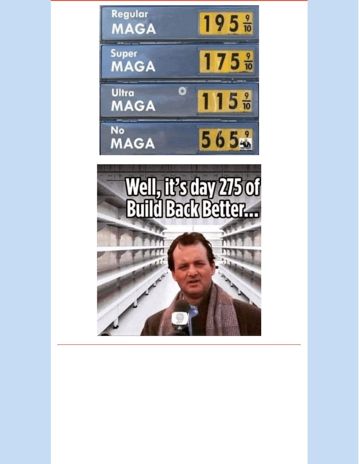